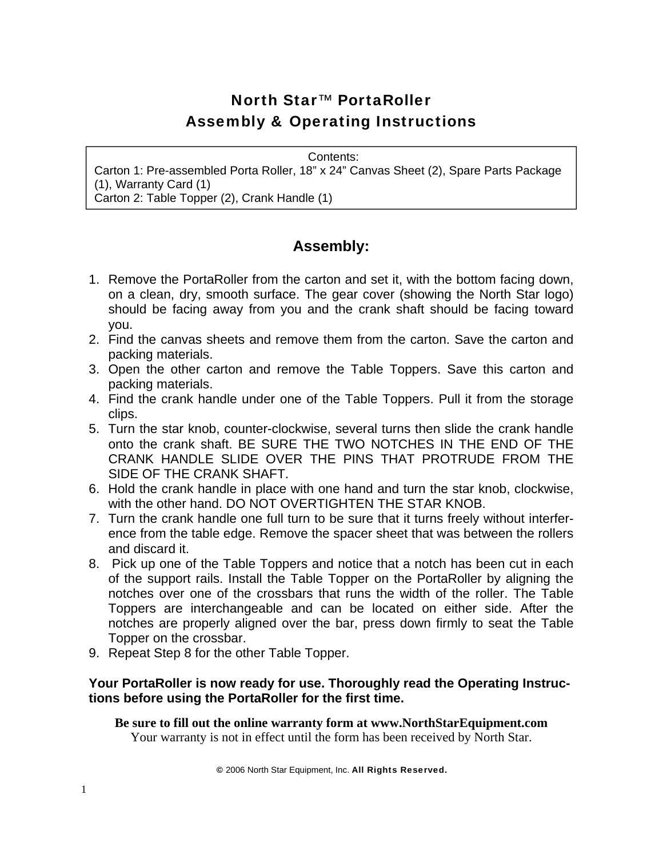# North Star™ PortaRoller Assembly & Operating Instructions

Contents:

Carton 1: Pre-assembled Porta Roller, 18" x 24" Canvas Sheet (2), Spare Parts Package (1), Warranty Card (1) Carton 2: Table Topper (2), Crank Handle (1)

### **Assembly:**

- 1. Remove the PortaRoller from the carton and set it, with the bottom facing down, on a clean, dry, smooth surface. The gear cover (showing the North Star logo) should be facing away from you and the crank shaft should be facing toward you.
- 2. Find the canvas sheets and remove them from the carton. Save the carton and packing materials.
- 3. Open the other carton and remove the Table Toppers. Save this carton and packing materials.
- 4. Find the crank handle under one of the Table Toppers. Pull it from the storage clips.
- 5. Turn the star knob, counter-clockwise, several turns then slide the crank handle onto the crank shaft. BE SURE THE TWO NOTCHES IN THE END OF THE CRANK HANDLE SLIDE OVER THE PINS THAT PROTRUDE FROM THE SIDE OF THE CRANK SHAFT.
- 6. Hold the crank handle in place with one hand and turn the star knob, clockwise, with the other hand. DO NOT OVERTIGHTEN THE STAR KNOB.
- 7. Turn the crank handle one full turn to be sure that it turns freely without interference from the table edge. Remove the spacer sheet that was between the rollers and discard it.
- 8. Pick up one of the Table Toppers and notice that a notch has been cut in each of the support rails. Install the Table Topper on the PortaRoller by aligning the notches over one of the crossbars that runs the width of the roller. The Table Toppers are interchangeable and can be located on either side. After the notches are properly aligned over the bar, press down firmly to seat the Table Topper on the crossbar.
- 9. Repeat Step 8 for the other Table Topper.

#### **Your PortaRoller is now ready for use. Thoroughly read the Operating Instructions before using the PortaRoller for the first time.**

**Be sure to fill out the online warranty form at www.NorthStarEquipment.com**  Your warranty is not in effect until the form has been received by North Star.